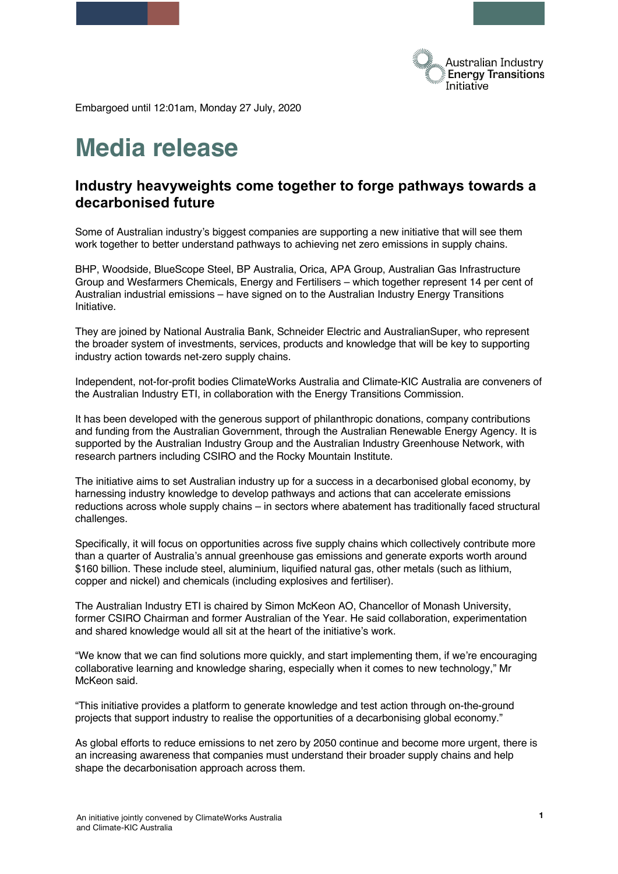

Embargoed until 12:01am, Monday 27 July, 2020

# **Media release**

# **Industry heavyweights come together to forge pathways towards a decarbonised future**

Some of Australian industry's biggest companies are supporting a new initiative that will see them work together to better understand pathways to achieving net zero emissions in supply chains.

BHP, Woodside, BlueScope Steel, BP Australia, Orica, APA Group, Australian Gas Infrastructure Group and Wesfarmers Chemicals, Energy and Fertilisers – which together represent 14 per cent of Australian industrial emissions – have signed on to the Australian Industry Energy Transitions Initiative.

They are joined by National Australia Bank, Schneider Electric and AustralianSuper, who represent the broader system of investments, services, products and knowledge that will be key to supporting industry action towards net-zero supply chains.

Independent, not-for-profit bodies ClimateWorks Australia and Climate-KIC Australia are conveners of the Australian Industry ETI, in collaboration with the Energy Transitions Commission.

It has been developed with the generous support of philanthropic donations, company contributions and funding from the Australian Government, through the Australian Renewable Energy Agency. It is supported by the Australian Industry Group and the Australian Industry Greenhouse Network, with research partners including CSIRO and the Rocky Mountain Institute.

The initiative aims to set Australian industry up for a success in a decarbonised global economy, by harnessing industry knowledge to develop pathways and actions that can accelerate emissions reductions across whole supply chains – in sectors where abatement has traditionally faced structural challenges.

Specifically, it will focus on opportunities across five supply chains which collectively contribute more than a quarter of Australia's annual greenhouse gas emissions and generate exports worth around \$160 billion. These include steel, aluminium, liquified natural gas, other metals (such as lithium, copper and nickel) and chemicals (including explosives and fertiliser).

The Australian Industry ETI is chaired by Simon McKeon AO, Chancellor of Monash University, former CSIRO Chairman and former Australian of the Year. He said collaboration, experimentation and shared knowledge would all sit at the heart of the initiative's work.

"We know that we can find solutions more quickly, and start implementing them, if we're encouraging collaborative learning and knowledge sharing, especially when it comes to new technology," Mr McKeon said.

"This initiative provides a platform to generate knowledge and test action through on-the-ground projects that support industry to realise the opportunities of a decarbonising global economy."

As global efforts to reduce emissions to net zero by 2050 continue and become more urgent, there is an increasing awareness that companies must understand their broader supply chains and help shape the decarbonisation approach across them.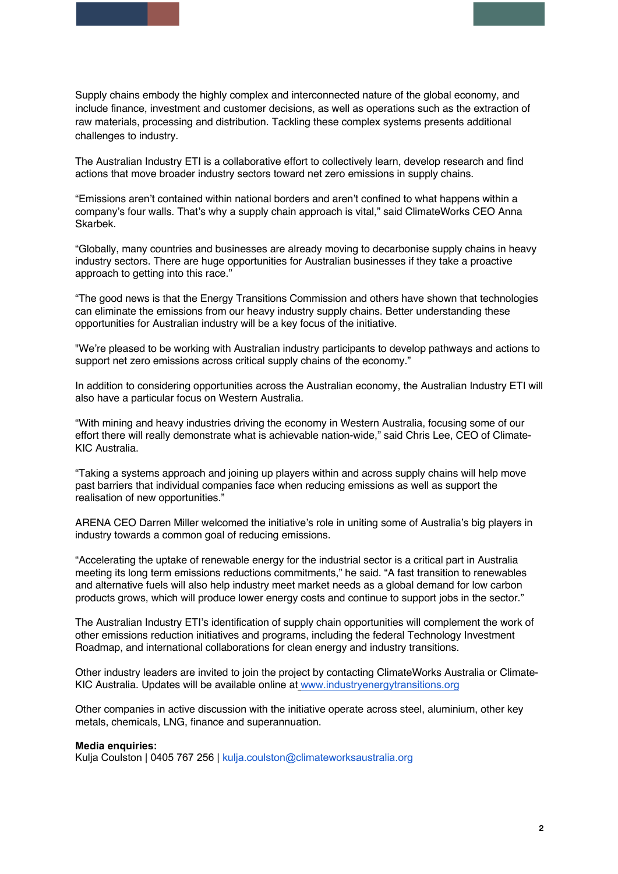Supply chains embody the highly complex and interconnected nature of the global economy, and include finance, investment and customer decisions, as well as operations such as the extraction of raw materials, processing and distribution. Tackling these complex systems presents additional challenges to industry.

The Australian Industry ETI is a collaborative effort to collectively learn, develop research and find actions that move broader industry sectors toward net zero emissions in supply chains.

"Emissions aren't contained within national borders and aren't confined to what happens within a company's four walls. That's why a supply chain approach is vital," said ClimateWorks CEO Anna Skarbek.

"Globally, many countries and businesses are already moving to decarbonise supply chains in heavy industry sectors. There are huge opportunities for Australian businesses if they take a proactive approach to getting into this race."

"The good news is that the Energy Transitions Commission and others have shown that technologies can eliminate the emissions from our heavy industry supply chains. Better understanding these opportunities for Australian industry will be a key focus of the initiative.

"We're pleased to be working with Australian industry participants to develop pathways and actions to support net zero emissions across critical supply chains of the economy."

In addition to considering opportunities across the Australian economy, the Australian Industry ETI will also have a particular focus on Western Australia.

"With mining and heavy industries driving the economy in Western Australia, focusing some of our effort there will really demonstrate what is achievable nation-wide," said Chris Lee, CEO of Climate-KIC Australia.

"Taking a systems approach and joining up players within and across supply chains will help move past barriers that individual companies face when reducing emissions as well as support the realisation of new opportunities."

ARENA CEO Darren Miller welcomed the initiative's role in uniting some of Australia's big players in industry towards a common goal of reducing emissions.

"Accelerating the uptake of renewable energy for the industrial sector is a critical part in Australia meeting its long term emissions reductions commitments," he said. "A fast transition to renewables and alternative fuels will also help industry meet market needs as a global demand for low carbon products grows, which will produce lower energy costs and continue to support jobs in the sector."

The Australian Industry ETI's identification of supply chain opportunities will complement the work of other emissions reduction initiatives and programs, including the federal Technology Investment Roadmap, and international collaborations for clean energy and industry transitions.

Other industry leaders are invited to join the project by contacting ClimateWorks Australia or Climate-KIC Australia. Updates will be available online a[t](http://www.industryenergytransitions.org/) [www.industryenergytransitions.org](http://www.industryenergytransitions.org/)

Other companies in active discussion with the initiative operate across steel, aluminium, other key metals, chemicals, LNG, finance and superannuation.

## **Media enquiries:**

Kulja Coulston | 0405 767 256 | kulja.coulston@climateworksaustralia.org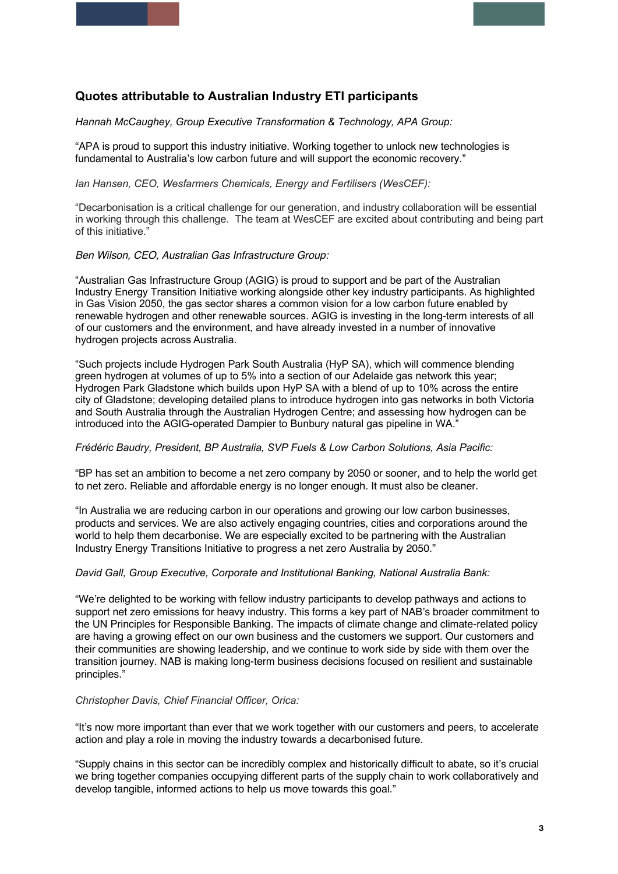## **Quotes attributable to Australian Industry ETI participants**

*Hannah McCaughey, Group Executive Transformation & Technology, APA Group:*

"APA is proud to support this industry initiative. Working together to unlock new technologies is fundamental to Australia's low carbon future and will support the economic recovery."

*Ian Hansen, CEO, Wesfarmers Chemicals, Energy and Fertilisers (WesCEF):*

"Decarbonisation is a critical challenge for our generation, and industry collaboration will be essential in working through this challenge. The team at WesCEF are excited about contributing and being part of this initiative."

#### *Ben Wilson, CEO, Australian Gas Infrastructure Group:*

"Australian Gas Infrastructure Group (AGIG) is proud to support and be part of the Australian Industry Energy Transition Initiative working alongside other key industry participants. As highlighted in Gas Vision 2050, the gas sector shares a common vision for a low carbon future enabled by renewable hydrogen and other renewable sources. AGIG is investing in the long-term interests of all of our customers and the environment, and have already invested in a number of innovative hydrogen projects across Australia.

"Such projects include Hydrogen Park South Australia (HyP SA), which will commence blending green hydrogen at volumes of up to 5% into a section of our Adelaide gas network this year; Hydrogen Park Gladstone which builds upon HyP SA with a blend of up to 10% across the entire city of Gladstone; developing detailed plans to introduce hydrogen into gas networks in both Victoria and South Australia through the Australian Hydrogen Centre; and assessing how hydrogen can be introduced into the AGIG-operated Dampier to Bunbury natural gas pipeline in WA."

## *Frédéric Baudry, President, BP Australia, SVP Fuels & Low Carbon Solutions, Asia Pacific:*

"BP has set an ambition to become a net zero company by 2050 or sooner, and to help the world get to net zero. Reliable and affordable energy is no longer enough. It must also be cleaner.

"In Australia we are reducing carbon in our operations and growing our low carbon businesses, products and services. We are also actively engaging countries, cities and corporations around the world to help them decarbonise. We are especially excited to be partnering with the Australian Industry Energy Transitions Initiative to progress a net zero Australia by 2050."

## *David Gall, Group Executive, Corporate and Institutional Banking, National Australia Bank:*

"We're delighted to be working with fellow industry participants to develop pathways and actions to support net zero emissions for heavy industry. This forms a key part of NAB's broader commitment to the UN Principles for Responsible Banking. The impacts of climate change and climate-related policy are having a growing effect on our own business and the customers we support. Our customers and their communities are showing leadership, and we continue to work side by side with them over the transition journey. NAB is making long-term business decisions focused on resilient and sustainable principles."

## *Christopher Davis, Chief Financial Officer, Orica:*

"It's now more important than ever that we work together with our customers and peers, to accelerate action and play a role in moving the industry towards a decarbonised future.

"Supply chains in this sector can be incredibly complex and historically difficult to abate, so it's crucial we bring together companies occupying different parts of the supply chain to work collaboratively and develop tangible, informed actions to help us move towards this goal."